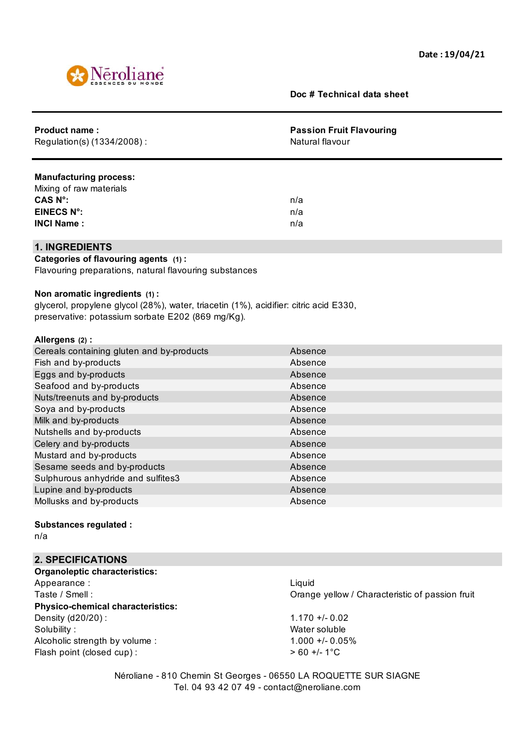

**Doc # Technical data sheet**

| <b>Product name:</b><br>Regulation(s) (1334/2008) :                                   | <b>Passion Fruit Flavouring</b><br>Natural flavour |
|---------------------------------------------------------------------------------------|----------------------------------------------------|
| <b>Manufacturing process:</b>                                                         |                                                    |
| Mixing of raw materials                                                               |                                                    |
| CAS N°:                                                                               | n/a                                                |
| <b>EINECS N°:</b>                                                                     | n/a                                                |
| <b>INCI Name:</b>                                                                     | n/a                                                |
| <b>1. INGREDIENTS</b>                                                                 |                                                    |
| Categories of flavouring agents (1):                                                  |                                                    |
| Flavouring preparations, natural flavouring substances                                |                                                    |
|                                                                                       |                                                    |
| Non aromatic ingredients (1):                                                         |                                                    |
| glycerol, propylene glycol (28%), water, triacetin (1%), acidifier: citric acid E330, |                                                    |
| preservative: potassium sorbate E202 (869 mg/Kg).                                     |                                                    |
| Allergens (2):                                                                        |                                                    |
| Cereals containing gluten and by-products                                             | Absence                                            |
| Fish and by-products                                                                  | Absence                                            |
| Eggs and by-products                                                                  | Absence                                            |
| Seafood and by-products                                                               | Absence                                            |
| Nuts/treenuts and by-products                                                         | Absence                                            |
| Soya and by-products                                                                  | Absence                                            |
| Milk and by-products                                                                  | Absence                                            |
| Nutshells and by-products                                                             | Absence                                            |
| Celery and by-products                                                                | Absence                                            |
| Mustard and by-products                                                               | Absence                                            |
| Sesame seeds and by-products                                                          | Absence                                            |
| Sulphurous anhydride and sulfites3                                                    | Absence                                            |
| Lupine and by-products                                                                | Absence                                            |
| Mollusks and by-products                                                              | Absence                                            |
|                                                                                       |                                                    |
| <b>Substances regulated:</b>                                                          |                                                    |

n/a

## **2. SPECIFICATIONS**

**Organoleptic characteristics:** Appearance : Liquid **Physico-chemical characteristics:** Density (d20/20) : 1.170 +/- 0.02 Solubility : Water soluble Alcoholic strength by volume : 1.000 +/- 0.05% Flash point (closed cup) :  $> 60 +/- 1$  °C

Taste / Smell : Orange yellow / Characteristic of passion fruit

Néroliane - 810 Chemin St Georges - 06550 LA ROQUETTE SUR SIAGNE Tel. 04 93 42 07 49 - contact@neroliane.com